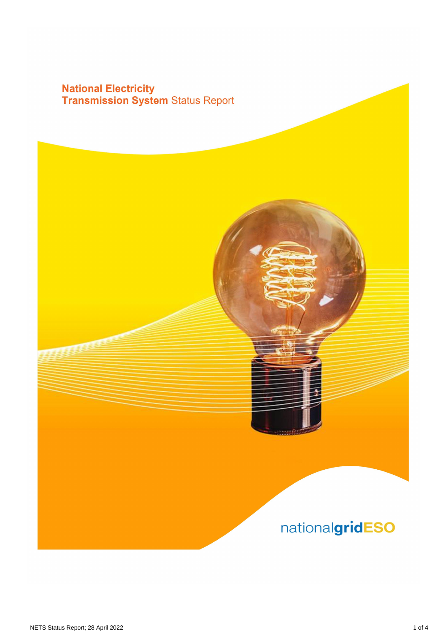## **National Electricity<br>Transmission System Status Report**

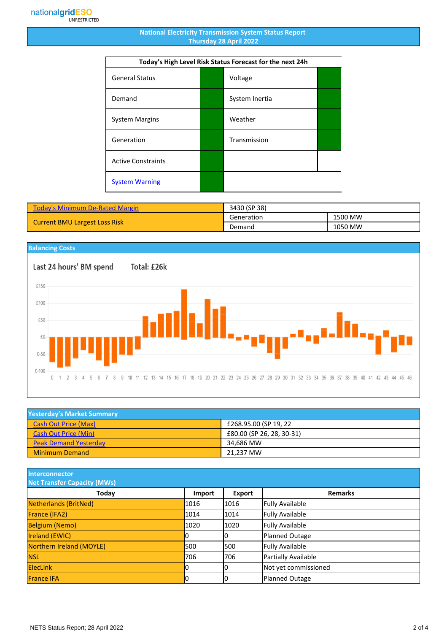## **National Electricity Transmission System Status Report Thursday 28 April 2022**

| Today's High Level Risk Status Forecast for the next 24h |  |                |  |
|----------------------------------------------------------|--|----------------|--|
| <b>General Status</b>                                    |  | Voltage        |  |
| Demand                                                   |  | System Inertia |  |
| <b>System Margins</b>                                    |  | Weather        |  |
| Generation                                               |  | Transmission   |  |
| <b>Active Constraints</b>                                |  |                |  |
| <b>System Warning</b>                                    |  |                |  |

| <b>Today's Minimum De-Rated Margin</b> | 3430 (SP 38) |         |
|----------------------------------------|--------------|---------|
| <b>Current BMU Largest Loss Risk</b>   | Generation   | 1500 MW |
|                                        | Demand       | 1050 MW |



| <b>Yesterday's Market Summary</b> |                           |  |
|-----------------------------------|---------------------------|--|
| <b>Cash Out Price (Max)</b>       | £268.95.00 (SP 19, 22     |  |
| <b>Cash Out Price (Min)</b>       | £80.00 (SP 26, 28, 30-31) |  |
| <b>Peak Demand Yesterday</b>      | 34.686 MW                 |  |
| <b>Minimum Demand</b>             | 21.237 MW                 |  |

**Interconnector**

| <b>Net Transfer Capacity (MWs)</b> |        |        |                        |
|------------------------------------|--------|--------|------------------------|
| Today                              | Import | Export | <b>Remarks</b>         |
| Netherlands (BritNed)              | 1016   | 1016   | <b>Fully Available</b> |
| France (IFA2)                      | 1014   | 1014   | <b>Fully Available</b> |
| <b>Belgium (Nemo)</b>              | 1020   | 1020   | <b>Fully Available</b> |
| <b>Ireland (EWIC)</b>              |        |        | Planned Outage         |
| Northern Ireland (MOYLE)           | 500    | 1500   | <b>Fully Available</b> |
| <b>NSL</b>                         | 706    | 706    | Partially Available    |
| <b>ElecLink</b>                    |        |        | Not yet commissioned   |
| <b>France IFA</b>                  |        |        | Planned Outage         |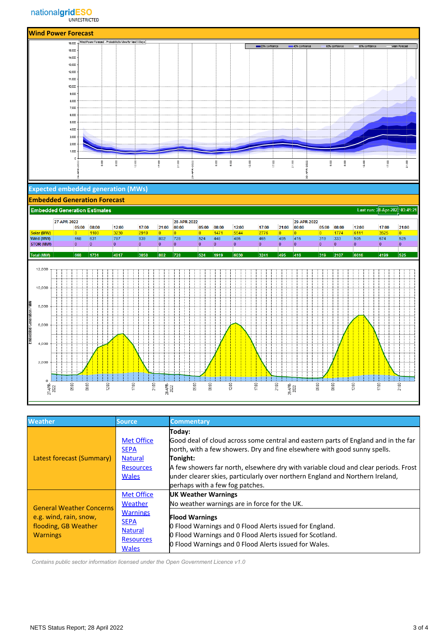

| <b>Weather</b>                                                                                       | <b>Source</b>                                                                                                        | <b>Commentary</b>                                                                                                                                                                                                                                                                                                                                                                                |
|------------------------------------------------------------------------------------------------------|----------------------------------------------------------------------------------------------------------------------|--------------------------------------------------------------------------------------------------------------------------------------------------------------------------------------------------------------------------------------------------------------------------------------------------------------------------------------------------------------------------------------------------|
| Latest forecast (Summary)                                                                            | <b>Met Office</b><br><b>SEPA</b><br><b>Natural</b><br><b>Resources</b><br><b>Wales</b>                               | Today:<br>Good deal of cloud across some central and eastern parts of England and in the far<br>north, with a few showers. Dry and fine elsewhere with good sunny spells.<br>Tonight:<br>A few showers far north, elsewhere dry with variable cloud and clear periods. Frost<br>under clearer skies, particularly over northern England and Northern Ireland,<br>perhaps with a few fog patches. |
| <b>General Weather Concerns</b><br>e.g. wind, rain, snow,<br>flooding, GB Weather<br><b>Warnings</b> | <b>Met Office</b><br>Weather<br><b>Warnings</b><br><b>SEPA</b><br><b>Natural</b><br><b>Resources</b><br><b>Wales</b> | UK Weather Warnings<br>No weather warnings are in force for the UK.<br><b>Flood Warnings</b><br><b>O</b> Flood Warnings and O Flood Alerts issued for England.<br>O Flood Warnings and O Flood Alerts issued for Scotland.<br>O Flood Warnings and O Flood Alerts issued for Wales.                                                                                                              |

 *Contains public sector information licensed under the Open Government Licence v1.0*